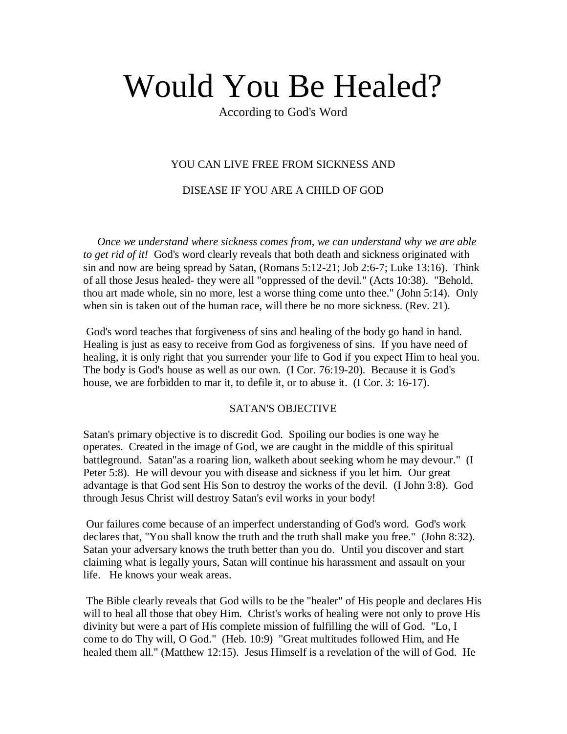# Would You Be Healed?

According to God's Word

#### YOU CAN LIVE FREE FROM SICKNESS AND

DISEASE IF YOU ARE A CHILD OF GOD

 *Once we understand where sickness comes from, we can understand why we are able to get rid of it!* God's word clearly reveals that both death and sickness originated with sin and now are being spread by Satan, (Romans 5:12-21; Job 2:6-7; Luke 13:16). Think of all those Jesus healed- they were all "oppressed of the devil." (Acts 10:38). "Behold, thou art made whole, sin no more, lest a worse thing come unto thee." (John 5:14). Only when sin is taken out of the human race, will there be no more sickness. (Rev. 21).

God's word teaches that forgiveness of sins and healing of the body go hand in hand. Healing is just as easy to receive from God as forgiveness of sins. If you have need of healing, it is only right that you surrender your life to God if you expect Him to heal you. The body is God's house as well as our own. (I Cor. 76:19-20). Because it is God's house, we are forbidden to mar it, to defile it, or to abuse it. (I Cor. 3: 16-17).

#### SATAN'S OBJECTIVE

Satan's primary objective is to discredit God. Spoiling our bodies is one way he operates. Created in the image of God, we are caught in the middle of this spiritual battleground. Satan"as a roaring lion, walketh about seeking whom he may devour." (I Peter 5:8). He will devour you with disease and sickness if you let him. Our great advantage is that God sent His Son to destroy the works of the devil. (I John 3:8). God through Jesus Christ will destroy Satan's evil works in your body!

Our failures come because of an imperfect understanding of God's word. God's work declares that, "You shall know the truth and the truth shall make you free." (John 8:32). Satan your adversary knows the truth better than you do. Until you discover and start claiming what is legally yours, Satan will continue his harassment and assault on your life. He knows your weak areas.

The Bible clearly reveals that God wills to be the "healer" of His people and declares His will to heal all those that obey Him. Christ's works of healing were not only to prove His divinity but were a part of His complete mission of fulfilling the will of God. "Lo, I come to do Thy will, O God." (Heb. 10:9) "Great multitudes followed Him, and He healed them all." (Matthew 12:15). Jesus Himself is a revelation of the will of God. He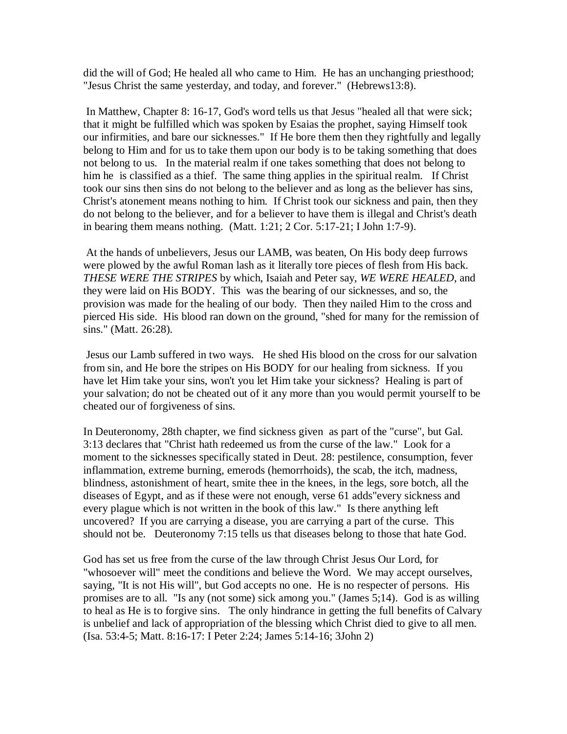did the will of God; He healed all who came to Him. He has an unchanging priesthood; "Jesus Christ the same yesterday, and today, and forever." (Hebrews13:8).

In Matthew, Chapter 8: 16-17, God's word tells us that Jesus "healed all that were sick; that it might be fulfilled which was spoken by Esaias the prophet, saying Himself took our infirmities, and bare our sicknesses." If He bore them then they rightfully and legally belong to Him and for us to take them upon our body is to be taking something that does not belong to us. In the material realm if one takes something that does not belong to him he is classified as a thief. The same thing applies in the spiritual realm. If Christ took our sins then sins do not belong to the believer and as long as the believer has sins, Christ's atonement means nothing to him. If Christ took our sickness and pain, then they do not belong to the believer, and for a believer to have them is illegal and Christ's death in bearing them means nothing. (Matt. 1:21; 2 Cor. 5:17-21; I John 1:7-9).

At the hands of unbelievers, Jesus our LAMB, was beaten, On His body deep furrows were plowed by the awful Roman lash as it literally tore pieces of flesh from His back. *THESE WERE THE STRIPES* by which, Isaiah and Peter say, *WE WERE HEALED*, and they were laid on His BODY. This was the bearing of our sicknesses, and so, the provision was made for the healing of our body. Then they nailed Him to the cross and pierced His side. His blood ran down on the ground, "shed for many for the remission of sins." (Matt. 26:28).

Jesus our Lamb suffered in two ways. He shed His blood on the cross for our salvation from sin, and He bore the stripes on His BODY for our healing from sickness. If you have let Him take your sins, won't you let Him take your sickness? Healing is part of your salvation; do not be cheated out of it any more than you would permit yourself to be cheated our of forgiveness of sins.

In Deuteronomy, 28th chapter, we find sickness given as part of the "curse", but Gal. 3:13 declares that "Christ hath redeemed us from the curse of the law." Look for a moment to the sicknesses specifically stated in Deut. 28: pestilence, consumption, fever inflammation, extreme burning, emerods (hemorrhoids), the scab, the itch, madness, blindness, astonishment of heart, smite thee in the knees, in the legs, sore botch, all the diseases of Egypt, and as if these were not enough, verse 61 adds"every sickness and every plague which is not written in the book of this law." Is there anything left uncovered? If you are carrying a disease, you are carrying a part of the curse. This should not be. Deuteronomy 7:15 tells us that diseases belong to those that hate God.

God has set us free from the curse of the law through Christ Jesus Our Lord, for "whosoever will" meet the conditions and believe the Word. We may accept ourselves, saying, "It is not His will", but God accepts no one. He is no respecter of persons. His promises are to all. "Is any (not some) sick among you." (James 5;14). God is as willing to heal as He is to forgive sins. The only hindrance in getting the full benefits of Calvary is unbelief and lack of appropriation of the blessing which Christ died to give to all men. (Isa. 53:4-5; Matt. 8:16-17: I Peter 2:24; James 5:14-16; 3John 2)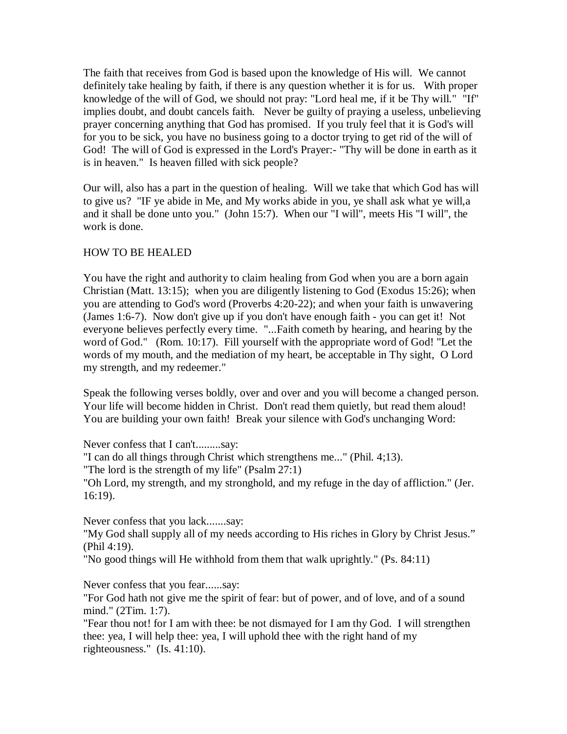The faith that receives from God is based upon the knowledge of His will. We cannot definitely take healing by faith, if there is any question whether it is for us. With proper knowledge of the will of God, we should not pray: "Lord heal me, if it be Thy will." "If" implies doubt, and doubt cancels faith. Never be guilty of praying a useless, unbelieving prayer concerning anything that God has promised. If you truly feel that it is God's will for you to be sick, you have no business going to a doctor trying to get rid of the will of God! The will of God is expressed in the Lord's Prayer:- "Thy will be done in earth as it is in heaven." Is heaven filled with sick people?

Our will, also has a part in the question of healing. Will we take that which God has will to give us? "IF ye abide in Me, and My works abide in you, ye shall ask what ye will,a and it shall be done unto you." (John 15:7). When our "I will", meets His "I will", the work is done.

### HOW TO BE HEALED

You have the right and authority to claim healing from God when you are a born again Christian (Matt. 13:15); when you are diligently listening to God (Exodus 15:26); when you are attending to God's word (Proverbs 4:20-22); and when your faith is unwavering (James 1:6-7). Now don't give up if you don't have enough faith - you can get it! Not everyone believes perfectly every time. "...Faith cometh by hearing, and hearing by the word of God." (Rom. 10:17). Fill yourself with the appropriate word of God! "Let the words of my mouth, and the mediation of my heart, be acceptable in Thy sight, O Lord my strength, and my redeemer."

Speak the following verses boldly, over and over and you will become a changed person. Your life will become hidden in Christ. Don't read them quietly, but read them aloud! You are building your own faith! Break your silence with God's unchanging Word:

Never confess that I can't.........say:

"I can do all things through Christ which strengthens me..." (Phil. 4;13).

"The lord is the strength of my life" (Psalm 27:1)

"Oh Lord, my strength, and my stronghold, and my refuge in the day of affliction." (Jer. 16:19).

Never confess that you lack.......say:

"My God shall supply all of my needs according to His riches in Glory by Christ Jesus." (Phil 4:19).

"No good things will He withhold from them that walk uprightly." (Ps. 84:11)

Never confess that you fear......say:

"For God hath not give me the spirit of fear: but of power, and of love, and of a sound mind." (2Tim. 1:7).

"Fear thou not! for I am with thee: be not dismayed for I am thy God. I will strengthen thee: yea, I will help thee: yea, I will uphold thee with the right hand of my righteousness." (Is. 41:10).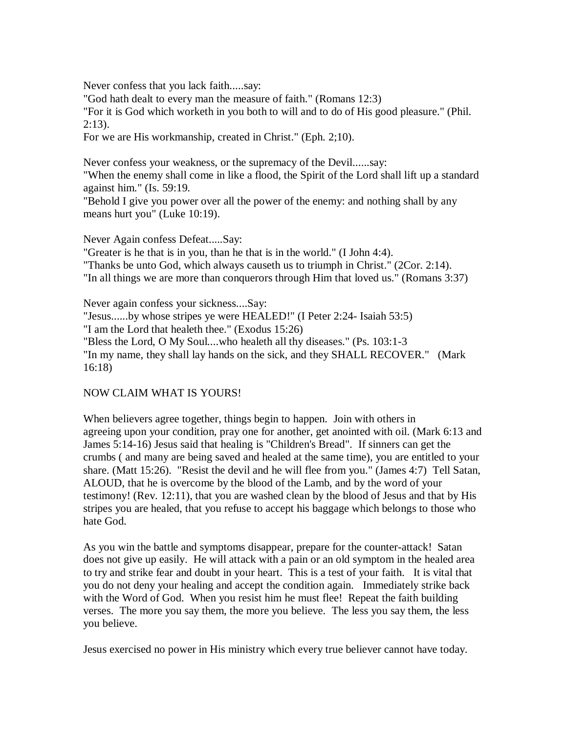Never confess that you lack faith.....say:

"God hath dealt to every man the measure of faith." (Romans 12:3) "For it is God which worketh in you both to will and to do of His good pleasure." (Phil.  $2:13$ ).

For we are His workmanship, created in Christ." (Eph. 2;10).

Never confess your weakness, or the supremacy of the Devil......say:

"When the enemy shall come in like a flood, the Spirit of the Lord shall lift up a standard against him." (Is. 59:19.

"Behold I give you power over all the power of the enemy: and nothing shall by any means hurt you" (Luke 10:19).

Never Again confess Defeat.....Say:

"Greater is he that is in you, than he that is in the world." (I John 4:4).

"Thanks be unto God, which always causeth us to triumph in Christ." (2Cor. 2:14).

"In all things we are more than conquerors through Him that loved us." (Romans 3:37)

Never again confess your sickness....Say: "Jesus......by whose stripes ye were HEALED!" (I Peter 2:24- Isaiah 53:5) "I am the Lord that healeth thee." (Exodus 15:26) "Bless the Lord, O My Soul....who healeth all thy diseases." (Ps. 103:1-3 "In my name, they shall lay hands on the sick, and they SHALL RECOVER." (Mark 16:18)

## NOW CLAIM WHAT IS YOURS!

When believers agree together, things begin to happen. Join with others in agreeing upon your condition, pray one for another, get anointed with oil. (Mark 6:13 and James 5:14-16) Jesus said that healing is "Children's Bread". If sinners can get the crumbs ( and many are being saved and healed at the same time), you are entitled to your share. (Matt 15:26). "Resist the devil and he will flee from you." (James 4:7) Tell Satan, ALOUD, that he is overcome by the blood of the Lamb, and by the word of your testimony! (Rev. 12:11), that you are washed clean by the blood of Jesus and that by His stripes you are healed, that you refuse to accept his baggage which belongs to those who hate God.

As you win the battle and symptoms disappear, prepare for the counter-attack! Satan does not give up easily. He will attack with a pain or an old symptom in the healed area to try and strike fear and doubt in your heart. This is a test of your faith. It is vital that you do not deny your healing and accept the condition again. Immediately strike back with the Word of God. When you resist him he must flee! Repeat the faith building verses. The more you say them, the more you believe. The less you say them, the less you believe.

Jesus exercised no power in His ministry which every true believer cannot have today.